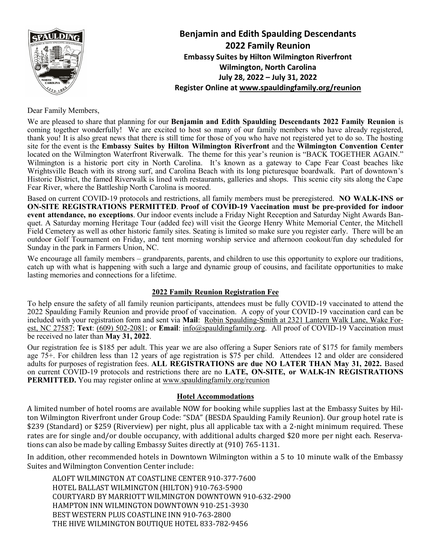

**Benjamin and Edith Spaulding Descendants 2022 Family Reunion Embassy Suites by Hilton Wilmington Riverfront Wilmington, North Carolina July 28, 2022 – July 31, 2022 Register Online at [www.spauldingfamily.org/reunion](http://www.spauldingfamily.org/reunion)**

Dear Family Members,

We are pleased to share that planning for our **Benjamin and Edith Spaulding Descendants 2022 Family Reunion** is coming together wonderfully! We are excited to host so many of our family members who have already registered, thank you! It is also great news that there is still time for those of you who have not registered yet to do so. The hosting site for the event is the **Embassy Suites by Hilton Wilmington Riverfront** and the **Wilmington Convention Center** located on the Wilmington Waterfront Riverwalk. The theme for this year's reunion is "BACK TOGETHER AGAIN." Wilmington is a historic port city in North Carolina. It's known as a gateway to Cape Fear Coast beaches like Wrightsville Beach with its strong surf, and Carolina Beach with its long picturesque boardwalk. Part of downtown's Historic District, the famed Riverwalk is lined with restaurants, galleries and shops. This scenic city sits along the Cape Fear River, where the Battleship North Carolina is moored.

Based on current COVID-19 protocols and restrictions, all family members must be preregistered. **NO WALK-INS or ON-SITE REGISTRATIONS PERMITTED**. **Proof of COVID-19 Vaccination must be pre-provided for indoor event attendance, no exceptions**. Our indoor events include a Friday Night Reception and Saturday Night Awards Banquet. A Saturday morning Heritage Tour (added fee) will visit the George Henry White Memorial Center, the Mitchell Field Cemetery as well as other historic family sites. Seating is limited so make sure you register early. There will be an outdoor Golf Tournament on Friday, and tent morning worship service and afternoon cookout/fun day scheduled for Sunday in the park in Farmers Union, NC.

We encourage all family members – grandparents, parents, and children to use this opportunity to explore our traditions, catch up with what is happening with such a large and dynamic group of cousins, and facilitate opportunities to make lasting memories and connections for a lifetime.

### **2022 Family Reunion Registration Fee**

To help ensure the safety of all family reunion participants, attendees must be fully COVID-19 vaccinated to attend the 2022 Spaulding Family Reunion and provide proof of vaccination. A copy of your COVID-19 vaccination card can be included with your registration form and sent via **Mail**: Robin Spaulding-Smith at 2321 Lantern Walk Lane, Wake Forest, NC 27587; **Text**: (609) 502-2081; or **Email**: [info@spauldingfamily.org.](mailto:info@spauldingfamily.org) All proof of COVID-19 Vaccination must be received no later than **May 31, 2022**.

Our registration fee is \$185 per adult. This year we are also offering a Super Seniors rate of \$175 for family members age 75+. For children less than 12 years of age registration is \$75 per child. Attendees 12 and older are considered adults for purposes of registration fees. **ALL REGISTRATIONS are due NO LATER THAN May 31, 2022.** Based on current COVID-19 protocols and restrictions there are no **LATE, ON-SITE, or WALK-IN REGISTRATIONS PERMITTED.** You may register online at [www.spauldingfamily.org/reunion](http://www.spauldingfamily.org/reunion)

### **Hotel Accommodations**

A limited number of hotel rooms are available NOW for booking while supplies last at the Embassy Suites by Hilton Wilmington Riverfront under Group Code: "SDA" (BESDA Spaulding Family Reunion). Our group hotel rate is \$239 (Standard) or \$259 (Riverview) per night, plus all applicable tax with a 2-night minimum required. These rates are for single and/or double occupancy, with additional adults charged \$20 more per night each. Reservations can also be made by calling Embassy Suites directly at (910) 765-1131.

In addition, other recommended hotels in Downtown Wilmington within a 5 to 10 minute walk of the Embassy Suites and Wilmington Convention Center include:

ALOFT WILMINGTON AT COASTLINE CENTER 910-377-7600 HOTEL BALLAST WILMINGTON (HILTON) 910-763-5900 COURTYARD BY MARRIOTT WILMINGTON DOWNTOWN 910-632-2900 HAMPTON INN WILMINGTON DOWNTOWN 910-251-3930 BEST WESTERN PLUS COASTLINE INN 910-763-2800 THE HIVE WILMINGTON BOUTIQUE HOTEL 833-782-9456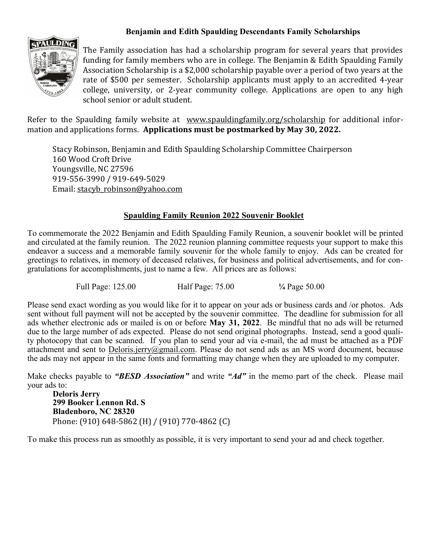## **Benjamin and Edith Spaulding Descendants Family Scholarships**



The Family association has had a scholarship program for several years that provides funding for family members who are in college. The Benjamin & Edith Spaulding Family Association Scholarship is a \$2,000 scholarship payable over a period of two years at the rate of \$500 per semester. Scholarship applicants must apply to an accredited 4-year college, university, or 2-year community college. Applications are open to any high school senior or adult student.

Refer to the Spaulding family website at [www.spauldingfamily.org/](http://www.spauldingfamily.org/)scholarship for additional information and applications forms. **Applications must be postmarked by May 30, 2022.**

Stacy Robinson, Benjamin and Edith Spaulding Scholarship Committee Chairperson 160 Wood Croft Drive Youngsville, NC 27596 919-556-3990 / 919-649-5029 Email: [stacyb\\_robinson@yahoo.com](mailto:stacyb_robinson@yahoo.com)

## **Spaulding Family Reunion 2022 Souvenir Booklet**

To commemorate the 2022 Benjamin and Edith Spaulding Family Reunion, a souvenir booklet will be printed and circulated at the family reunion. The 2022 reunion planning committee requests your support to make this endeavor a success and a memorable family souvenir for the whole family to enjoy. Ads can be created for greetings to relatives, in memory of deceased relatives, for business and political advertisements, and for congratulations for accomplishments, just to name a few. All prices are as follows:

Full Page: 125.00 Half Page: 75.00 **¼** Page 50.00

Please send exact wording as you would like for it to appear on your ads or business cards and /or photos. Ads sent without full payment will not be accepted by the souvenir committee. The deadline for submission for all ads whether electronic ads or mailed is on or before **May 31, 2022**. Be mindful that no ads will be returned due to the large number of ads expected. Please do not send original photographs. Instead, send a good quality photocopy that can be scanned. If you plan to send your ad via e-mail, the ad must be attached as a PDF attachment and sent to **Deloris.jerry@gmail.com**. Please do not send ads as an MS word document, because the ads may not appear in the same fonts and formatting may change when they are uploaded to my computer.

Make checks payable to *"BESD Association"* and write *"Ad"* in the memo part of the check. Please mail your ads to:

**Deloris Jerry 299 Booker Lennon Rd. S Bladenboro, NC 28320** Phone: (910) 648-5862 (H) / (910) 770-4862 (C)

To make this process run as smoothly as possible, it is very important to send your ad and check together.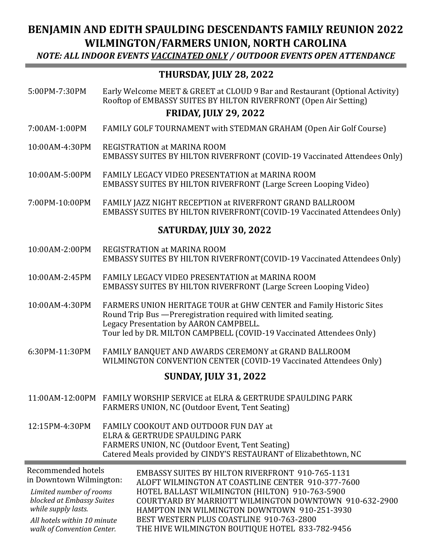# **BENJAMIN AND EDITH SPAULDING DESCENDANTS FAMILY REUNION 2022 WILMINGTON/FARMERS UNION, NORTH CAROLINA**

*NOTE: ALL INDOOR EVENTS VACCINATED ONLY / OUTDOOR EVENTS OPEN ATTENDANCE*

# **THURSDAY, JULY 28, 2022**

5:00PM-7:30PM Early Welcome MEET & GREET at CLOUD 9 Bar and Restaurant (Optional Activity) Rooftop of EMBASSY SUITES BY HILTON RIVERFRONT (Open Air Setting)

## **FRIDAY, JULY 29, 2022**

- 7:00AM-1:00PM FAMILY GOLF TOURNAMENT with STEDMAN GRAHAM (Open Air Golf Course)
- 10:00AM-4:30PM REGISTRATION at MARINA ROOM EMBASSY SUITES BY HILTON RIVERFRONT (COVID-19 Vaccinated Attendees Only)
- 10:00AM-5:00PM FAMILY LEGACY VIDEO PRESENTATION at MARINA ROOM EMBASSY SUITES BY HILTON RIVERFRONT (Large Screen Looping Video)
- 7:00PM-10:00PM FAMILY JAZZ NIGHT RECEPTION at RIVERFRONT GRAND BALLROOM EMBASSY SUITES BY HILTON RIVERFRONT(COVID-19 Vaccinated Attendees Only)

## **SATURDAY, JULY 30, 2022**

- 10:00AM-2:00PM REGISTRATION at MARINA ROOM EMBASSY SUITES BY HILTON RIVERFRONT(COVID-19 Vaccinated Attendees Only)
- 10:00AM-2:45PM FAMILY LEGACY VIDEO PRESENTATION at MARINA ROOM EMBASSY SUITES BY HILTON RIVERFRONT (Large Screen Looping Video)
- 10:00AM-4:30PM FARMERS UNION HERITAGE TOUR at GHW CENTER and Family Historic Sites Round Trip Bus —Preregistration required with limited seating. Legacy Presentation by AARON CAMPBELL. Tour led by DR. MILTON CAMPBELL (COVID-19 Vaccinated Attendees Only)
- 6:30PM-11:30PM FAMILY BANQUET AND AWARDS CEREMONY at GRAND BALLROOM WILMINGTON CONVENTION CENTER (COVID-19 Vaccinated Attendees Only)

## **SUNDAY, JULY 31, 2022**

- 11:00AM-12:00PM FAMILY WORSHIP SERVICE at ELRA & GERTRUDE SPAULDING PARK FARMERS UNION, NC (Outdoor Event, Tent Seating)
- 12:15PM-4:30PM FAMILY COOKOUT AND OUTDOOR FUN DAY at ELRA & GERTRUDE SPAULDING PARK FARMERS UNION, NC (Outdoor Event, Tent Seating) Catered Meals provided by CINDY'S RESTAURANT of Elizabethtown, NC

| Recommended hotels<br>in Downtown Wilmington: | <b>EMBASSY SUITES BY HILTON RIVERFRONT 910-765-1131</b><br>ALOFT WILMINGTON AT COASTLINE CENTER 910-377-7600 |
|-----------------------------------------------|--------------------------------------------------------------------------------------------------------------|
| Limited number of rooms                       | HOTEL BALLAST WILMINGTON (HILTON) 910-763-5900                                                               |
| blocked at Embassy Suites                     | COURTYARD BY MARRIOTT WILMINGTON DOWNTOWN 910-632-2900                                                       |
| while supply lasts.                           | HAMPTON INN WILMINGTON DOWNTOWN 910-251-3930                                                                 |
| All hotels within 10 minute                   | BEST WESTERN PLUS COASTLINE 910-763-2800                                                                     |
| walk of Convention Center.                    | THE HIVE WILMINGTON BOUTIQUE HOTEL 833-782-9456                                                              |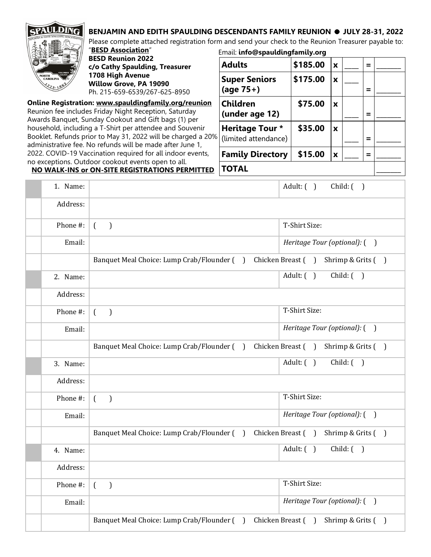## **BENJAMIN AND EDITH SPAULDING DESCENDANTS FAMILY REUNION · JULY 28-31, 2022**



Please complete attached registration form and send your check to the Reunion Treasurer payable to: "**BESD Association**" Email: **info@spauldingfamily.org**

**BESD Reunion 2022 c/o Cathy Spaulding, Treasurer 1708 High Avenue Willow Grove, PA 19090** Ph. 215-659-6539/267-625-8950

**Online Registration: [www.spauldingfamily.org/reunion](http://www.spauldingfamily.org/reunion)** Reunion fee includes Friday Night Reception, Saturday Awards Banquet, Sunday Cookout and Gift bags (1) per household, including a T-Shirt per attendee and Souvenir Booklet. Refunds prior to May 31, 2022 will be charged a 20% administrative fee. No refunds will be made after June 1, 2022. COVID-19 Vaccination required for all indoor events, no exceptions. Outdoor cookout events open to all. **NO WALK-INS or ON-SITE REGISTRATIONS PERMITTED**

**Adults \$185.00 x \_\_\_\_ = \_\_\_\_\_\_\_ Super Seniors (age 75+) \$175.00 x \_\_\_\_ = \_\_\_\_\_\_\_ Children (under age 12) \$75.00 x \_\_\_\_ = \_\_\_\_\_\_\_ Heritage Tour \*** (limited attendance)  **\$35.00 x \_\_\_\_ = \_\_\_\_\_\_\_ Family Directory** | \$15.00  $|x|_{\text{max}}$  |= **TOTAL \_\_\_\_\_\_\_**

1. Name: Adult: ( ) Child: ( ) Address: Phone #:  $\begin{pmatrix} 1 & 1 \end{pmatrix}$  T-Shirt Size: Email: *Heritage Tour (optional):* ( ) Banquet Meal Choice: Lump Crab/Flounder () Chicken Breast () Shrimp & Grits () 2. Name:  $\begin{vmatrix} \text{Adult:} \end{vmatrix}$  Child: ( ) Address: Phone  $\#$ :  $\begin{pmatrix} 0 & 1 \end{pmatrix}$  ( Email: *Heritage Tour (optional):* ( ) Banquet Meal Choice: Lump Crab/Flounder () Chicken Breast () Shrimp & Grits ()  $3. \text{ Name:}$  Adult: ( ) Child: ( ) Address: Phone  $\#$ :  $\begin{pmatrix} 0 & 1 \end{pmatrix}$  ( Email: *Heritage Tour (optional):* ( ) Banquet Meal Choice: Lump Crab/Flounder () Chicken Breast () Shrimp & Grits () 4. Name: **Adult: ( )** Child: ( ) Address: Phone  $\#$ :  $\begin{pmatrix} 0 & 1 \end{pmatrix}$  ( Email: *Heritage Tour (optional):* ( ) Banquet Meal Choice: Lump Crab/Flounder () Chicken Breast () Shrimp & Grits ()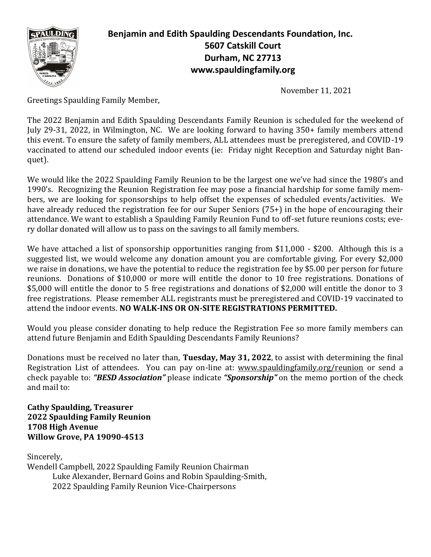

**Benjamin and Edith Spaulding Descendants Foundation, Inc. 5607 Catskill Court Durham, NC 27713 www.spauldingfamily.org**

November 11, 2021

Greetings Spaulding Family Member,

The 2022 Benjamin and Edith Spaulding Descendants Family Reunion is scheduled for the weekend of July 29-31, 2022, in Wilmington, NC. We are looking forward to having 350+ family members attend this event. To ensure the safety of family members, ALL attendees must be preregistered, and COVID-19 vaccinated to attend our scheduled indoor events (ie: Friday night Reception and Saturday night Banquet).

We would like the 2022 Spaulding Family Reunion to be the largest one we've had since the 1980's and 1990's. Recognizing the Reunion Registration fee may pose a financial hardship for some family members, we are looking for sponsorships to help offset the expenses of scheduled events/activities. We have already reduced the registration fee for our Super Seniors (75+) in the hope of encouraging their attendance. We want to establish a Spaulding Family Reunion Fund to off-set future reunions costs; every dollar donated will allow us to pass on the savings to all family members.

We have attached a list of sponsorship opportunities ranging from \$11,000 - \$200. Although this is a suggested list, we would welcome any donation amount you are comfortable giving. For every \$2,000 we raise in donations, we have the potential to reduce the registration fee by \$5.00 per person for future reunions. Donations of \$10,000 or more will entitle the donor to 10 free registrations. Donations of \$5,000 will entitle the donor to 5 free registrations and donations of \$2,000 will entitle the donor to 3 free registrations. Please remember ALL registrants must be preregistered and COVID-19 vaccinated to attend the indoor events. **NO WALK-INS OR ON-SITE REGISTRATIONS PERMITTED.**

Would you please consider donating to help reduce the Registration Fee so more family members can attend future Benjamin and Edith Spaulding Descendants Family Reunions?

Donations must be received no later than, **Tuesday, May 31, 2022**, to assist with determining the final Registration List of attendees. You can pay on-line at: [www.spauldingfamily.org/reunion](http://www.spauldingfamily.org/reunion) or send a check payable to: *"BESD Association"* please indicate *"Sponsorship"* on the memo portion of the check and mail to:

**Cathy Spaulding, Treasurer 2022 Spaulding Family Reunion 1708 High Avenue Willow Grove, PA 19090-4513**

Sincerely, Wendell Campbell, 2022 Spaulding Family Reunion Chairman Luke Alexander, Bernard Goins and Robin Spaulding-Smith, 2022 Spaulding Family Reunion Vice-Chairpersons